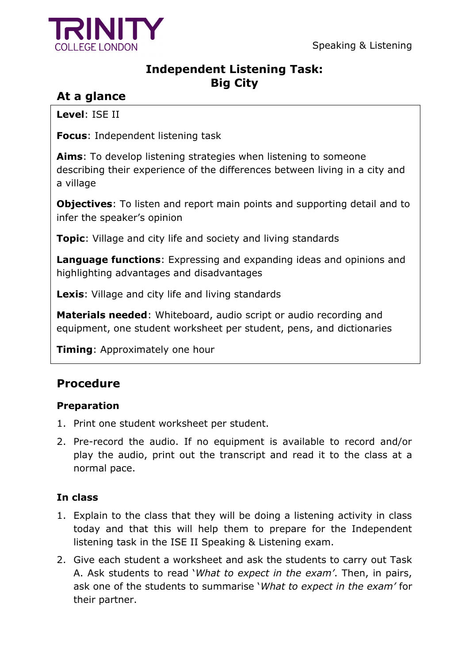

## **Independent Listening Task: Big City**

# **At a glance**

**Level**: ISE II

**Focus**: Independent listening task

**Aims**: To develop listening strategies when listening to someone describing their experience of the differences between living in a city and a village

**Objectives**: To listen and report main points and supporting detail and to infer the speaker's opinion

**Topic**: Village and city life and society and living standards

**Language functions**: Expressing and expanding ideas and opinions and highlighting advantages and disadvantages

**Lexis**: Village and city life and living standards

**Materials needed**: Whiteboard, audio script or audio recording and equipment, one student worksheet per student, pens, and dictionaries

**Timing**: Approximately one hour

# **Procedure**

## **Preparation**

- 1. Print one student worksheet per student.
- 2. Pre-record the audio. If no equipment is available to record and/or play the audio, print out the transcript and read it to the class at a normal pace.

## **In class**

- 1. Explain to the class that they will be doing a listening activity in class today and that this will help them to prepare for the Independent listening task in the ISE II Speaking & Listening exam.
- 2. Give each student a worksheet and ask the students to carry out Task A. Ask students to read '*What to expect in the exam'*. Then, in pairs, ask one of the students to summarise '*What to expect in the exam'* for their partner.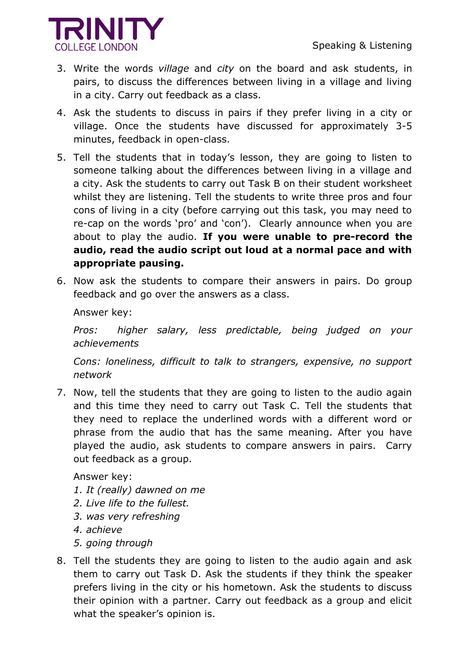

- 3. Write the words *village* and *city* on the board and ask students, in pairs, to discuss the differences between living in a village and living in a city. Carry out feedback as a class.
- 4. Ask the students to discuss in pairs if they prefer living in a city or village. Once the students have discussed for approximately 3-5 minutes, feedback in open-class.
- 5. Tell the students that in today's lesson, they are going to listen to someone talking about the differences between living in a village and a city. Ask the students to carry out Task B on their student worksheet whilst they are listening. Tell the students to write three pros and four cons of living in a city (before carrying out this task, you may need to re-cap on the words 'pro' and 'con'). Clearly announce when you are about to play the audio. **If you were unable to pre-record the audio, read the audio script out loud at a normal pace and with appropriate pausing.**
- 6. Now ask the students to compare their answers in pairs. Do group feedback and go over the answers as a class.

Answer key:

*Pros: higher salary, less predictable, being judged on your achievements* 

*Cons: loneliness, difficult to talk to strangers, expensive, no support network* 

7. Now, tell the students that they are going to listen to the audio again and this time they need to carry out Task C. Tell the students that they need to replace the underlined words with a different word or phrase from the audio that has the same meaning. After you have played the audio, ask students to compare answers in pairs. Carry out feedback as a group.

Answer key:

- *1. It (really) dawned on me*
- *2. Live life to the fullest.*
- *3. was very refreshing*
- *4. achieve*
- *5. going through*
- 8. Tell the students they are going to listen to the audio again and ask them to carry out Task D. Ask the students if they think the speaker prefers living in the city or his hometown. Ask the students to discuss their opinion with a partner. Carry out feedback as a group and elicit what the speaker's opinion is.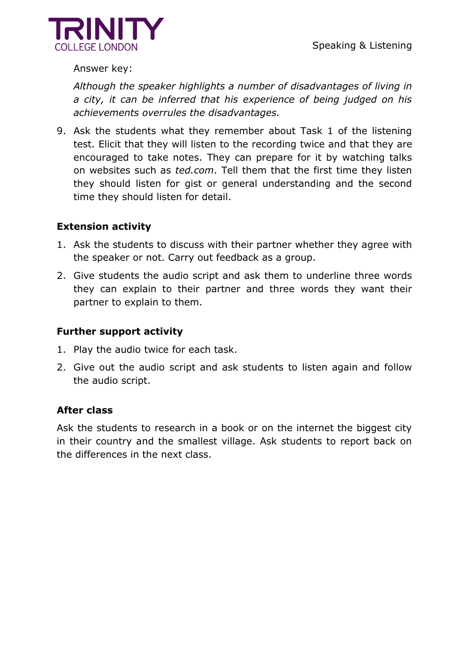

Answer key:

*Although the speaker highlights a number of disadvantages of living in a city, it can be inferred that his experience of being judged on his achievements overrules the disadvantages.*

9. Ask the students what they remember about Task 1 of the listening test. Elicit that they will listen to the recording twice and that they are encouraged to take notes. They can prepare for it by watching talks on websites such as *ted.com*. Tell them that the first time they listen they should listen for gist or general understanding and the second time they should listen for detail.

### **Extension activity**

- 1. Ask the students to discuss with their partner whether they agree with the speaker or not. Carry out feedback as a group.
- 2. Give students the audio script and ask them to underline three words they can explain to their partner and three words they want their partner to explain to them.

### **Further support activity**

- 1. Play the audio twice for each task.
- 2. Give out the audio script and ask students to listen again and follow the audio script.

#### **After class**

Ask the students to research in a book or on the internet the biggest city in their country and the smallest village. Ask students to report back on the differences in the next class.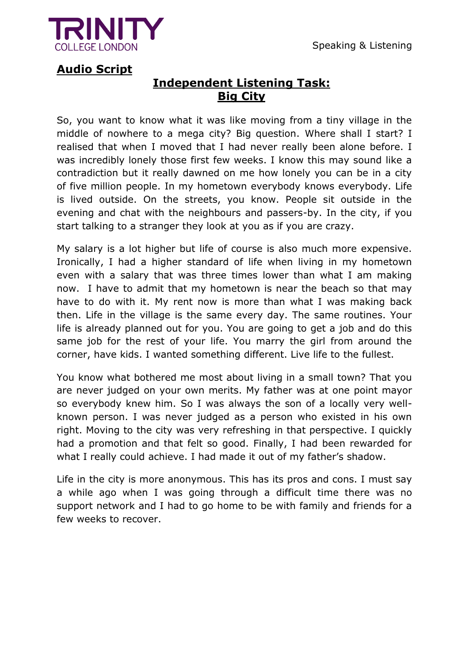

## **Audio Script**

# **Independent Listening Task: Big City**

So, you want to know what it was like moving from a tiny village in the middle of nowhere to a mega city? Big question. Where shall I start? I realised that when I moved that I had never really been alone before. I was incredibly lonely those first few weeks. I know this may sound like a contradiction but it really dawned on me how lonely you can be in a city of five million people. In my hometown everybody knows everybody. Life is lived outside. On the streets, you know. People sit outside in the evening and chat with the neighbours and passers-by. In the city, if you start talking to a stranger they look at you as if you are crazy.

My salary is a lot higher but life of course is also much more expensive. Ironically, I had a higher standard of life when living in my hometown even with a salary that was three times lower than what I am making now. I have to admit that my hometown is near the beach so that may have to do with it. My rent now is more than what I was making back then. Life in the village is the same every day. The same routines. Your life is already planned out for you. You are going to get a job and do this same job for the rest of your life. You marry the girl from around the corner, have kids. I wanted something different. Live life to the fullest.

You know what bothered me most about living in a small town? That you are never judged on your own merits. My father was at one point mayor so everybody knew him. So I was always the son of a locally very wellknown person. I was never judged as a person who existed in his own right. Moving to the city was very refreshing in that perspective. I quickly had a promotion and that felt so good. Finally, I had been rewarded for what I really could achieve. I had made it out of my father's shadow.

Life in the city is more anonymous. This has its pros and cons. I must say a while ago when I was going through a difficult time there was no support network and I had to go home to be with family and friends for a few weeks to recover.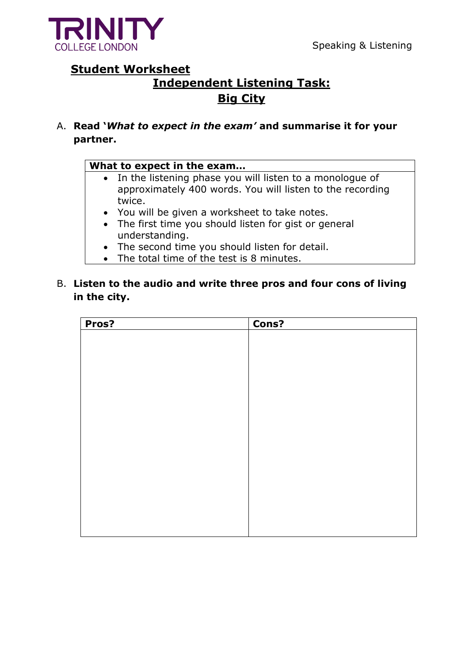

## **Student Worksheet**

# **Independent Listening Task: Big City**

A. **Read '***What to expect in the exam'* **and summarise it for your partner.** 

#### **What to expect in the exam…**

- In the listening phase you will listen to a monologue of approximately 400 words. You will listen to the recording twice.
- You will be given a worksheet to take notes.
- The first time you should listen for gist or general understanding.
- The second time you should listen for detail.
- The total time of the test is 8 minutes.
- B. **Listen to the audio and write three pros and four cons of living in the city.**

| Pros? | Cons? |
|-------|-------|
|       |       |
|       |       |
|       |       |
|       |       |
|       |       |
|       |       |
|       |       |
|       |       |
|       |       |
|       |       |
|       |       |
|       |       |
|       |       |
|       |       |
|       |       |
|       |       |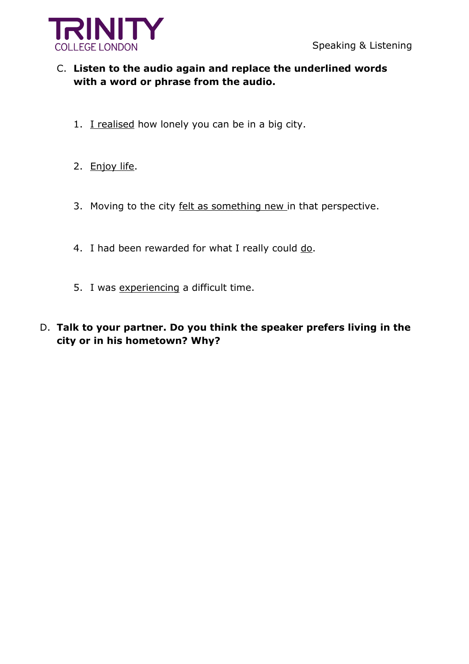

## C. **Listen to the audio again and replace the underlined words with a word or phrase from the audio.**

- 1. I realised how lonely you can be in a big city.
- 2. Enjoy life.
- 3. Moving to the city felt as something new in that perspective.
- 4. I had been rewarded for what I really could do.
- 5. I was experiencing a difficult time.
- D. **Talk to your partner. Do you think the speaker prefers living in the city or in his hometown? Why?**